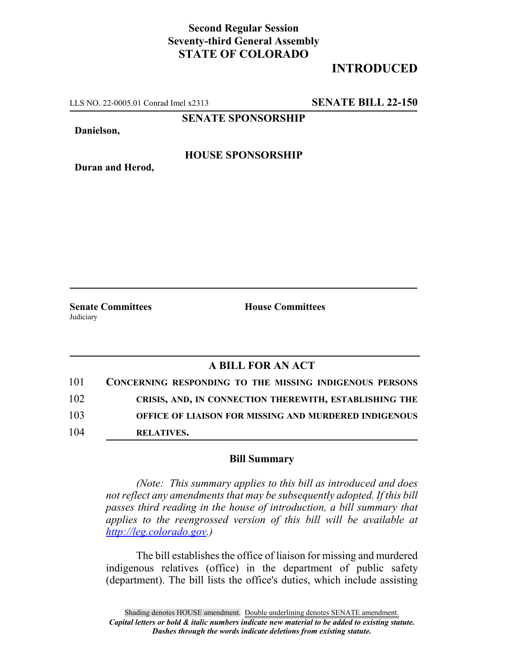# **Second Regular Session Seventy-third General Assembly STATE OF COLORADO**

# **INTRODUCED**

LLS NO. 22-0005.01 Conrad Imel x2313 **SENATE BILL 22-150**

**SENATE SPONSORSHIP**

**Danielson,**

**Duran and Herod,**

### **HOUSE SPONSORSHIP**

**Senate Committees House Committees** Judiciary

### **A BILL FOR AN ACT**

| 101 | CONCERNING RESPONDING TO THE MISSING INDIGENOUS PERSONS |
|-----|---------------------------------------------------------|
| 102 | CRISIS, AND, IN CONNECTION THEREWITH, ESTABLISHING THE  |
| 103 | OFFICE OF LIAISON FOR MISSING AND MURDERED INDIGENOUS   |
| 104 | <b>RELATIVES.</b>                                       |

#### **Bill Summary**

*(Note: This summary applies to this bill as introduced and does not reflect any amendments that may be subsequently adopted. If this bill passes third reading in the house of introduction, a bill summary that applies to the reengrossed version of this bill will be available at http://leg.colorado.gov.)*

The bill establishes the office of liaison for missing and murdered indigenous relatives (office) in the department of public safety (department). The bill lists the office's duties, which include assisting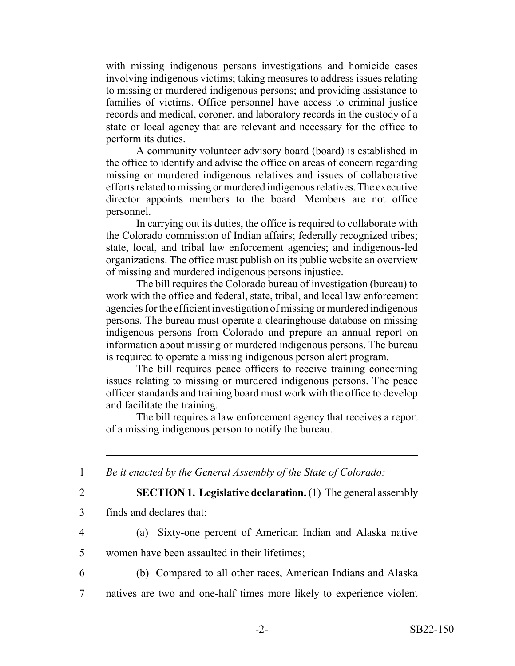with missing indigenous persons investigations and homicide cases involving indigenous victims; taking measures to address issues relating to missing or murdered indigenous persons; and providing assistance to families of victims. Office personnel have access to criminal justice records and medical, coroner, and laboratory records in the custody of a state or local agency that are relevant and necessary for the office to perform its duties.

A community volunteer advisory board (board) is established in the office to identify and advise the office on areas of concern regarding missing or murdered indigenous relatives and issues of collaborative efforts related to missing or murdered indigenous relatives. The executive director appoints members to the board. Members are not office personnel.

In carrying out its duties, the office is required to collaborate with the Colorado commission of Indian affairs; federally recognized tribes; state, local, and tribal law enforcement agencies; and indigenous-led organizations. The office must publish on its public website an overview of missing and murdered indigenous persons injustice.

The bill requires the Colorado bureau of investigation (bureau) to work with the office and federal, state, tribal, and local law enforcement agencies for the efficient investigation of missing or murdered indigenous persons. The bureau must operate a clearinghouse database on missing indigenous persons from Colorado and prepare an annual report on information about missing or murdered indigenous persons. The bureau is required to operate a missing indigenous person alert program.

The bill requires peace officers to receive training concerning issues relating to missing or murdered indigenous persons. The peace officer standards and training board must work with the office to develop and facilitate the training.

The bill requires a law enforcement agency that receives a report of a missing indigenous person to notify the bureau.

- 1 *Be it enacted by the General Assembly of the State of Colorado:*
- 

2 **SECTION 1. Legislative declaration.** (1) The general assembly

- 3 finds and declares that:
- 

4 (a) Sixty-one percent of American Indian and Alaska native

5 women have been assaulted in their lifetimes;

6 (b) Compared to all other races, American Indians and Alaska

7 natives are two and one-half times more likely to experience violent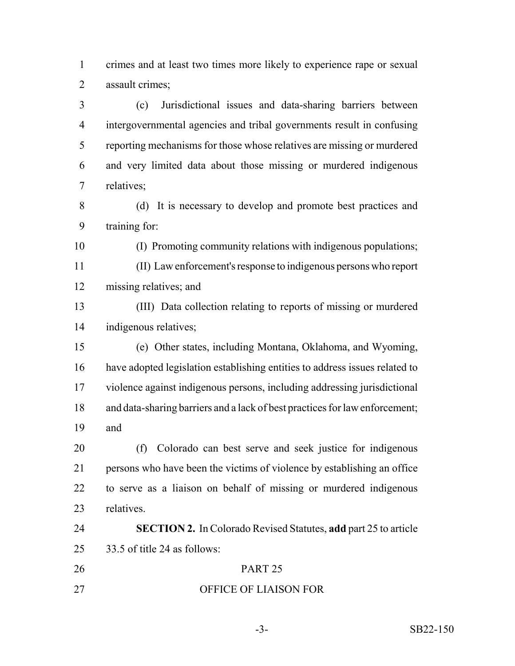crimes and at least two times more likely to experience rape or sexual assault crimes;

 (c) Jurisdictional issues and data-sharing barriers between intergovernmental agencies and tribal governments result in confusing reporting mechanisms for those whose relatives are missing or murdered and very limited data about those missing or murdered indigenous relatives;

 (d) It is necessary to develop and promote best practices and training for:

(I) Promoting community relations with indigenous populations;

- (II) Law enforcement's response to indigenous persons who report missing relatives; and
- (III) Data collection relating to reports of missing or murdered indigenous relatives;
- (e) Other states, including Montana, Oklahoma, and Wyoming, have adopted legislation establishing entities to address issues related to violence against indigenous persons, including addressing jurisdictional and data-sharing barriers and a lack of best practices for law enforcement; and

 (f) Colorado can best serve and seek justice for indigenous persons who have been the victims of violence by establishing an office to serve as a liaison on behalf of missing or murdered indigenous relatives.

- **SECTION 2.** In Colorado Revised Statutes, **add** part 25 to article 33.5 of title 24 as follows: PART 25
- OFFICE OF LIAISON FOR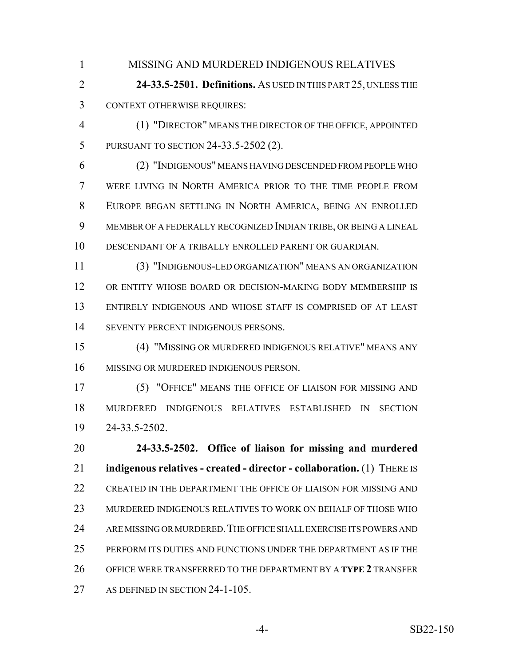MISSING AND MURDERED INDIGENOUS RELATIVES

 **24-33.5-2501. Definitions.** AS USED IN THIS PART 25, UNLESS THE CONTEXT OTHERWISE REQUIRES:

 (1) "DIRECTOR" MEANS THE DIRECTOR OF THE OFFICE, APPOINTED PURSUANT TO SECTION 24-33.5-2502 (2).

 (2) "INDIGENOUS" MEANS HAVING DESCENDED FROM PEOPLE WHO WERE LIVING IN NORTH AMERICA PRIOR TO THE TIME PEOPLE FROM EUROPE BEGAN SETTLING IN NORTH AMERICA, BEING AN ENROLLED MEMBER OF A FEDERALLY RECOGNIZED INDIAN TRIBE, OR BEING A LINEAL DESCENDANT OF A TRIBALLY ENROLLED PARENT OR GUARDIAN.

 (3) "INDIGENOUS-LED ORGANIZATION" MEANS AN ORGANIZATION OR ENTITY WHOSE BOARD OR DECISION-MAKING BODY MEMBERSHIP IS ENTIRELY INDIGENOUS AND WHOSE STAFF IS COMPRISED OF AT LEAST SEVENTY PERCENT INDIGENOUS PERSONS.

 (4) "MISSING OR MURDERED INDIGENOUS RELATIVE" MEANS ANY MISSING OR MURDERED INDIGENOUS PERSON.

 (5) "OFFICE" MEANS THE OFFICE OF LIAISON FOR MISSING AND MURDERED INDIGENOUS RELATIVES ESTABLISHED IN SECTION 24-33.5-2502.

 **24-33.5-2502. Office of liaison for missing and murdered indigenous relatives - created - director - collaboration.** (1) THERE IS CREATED IN THE DEPARTMENT THE OFFICE OF LIAISON FOR MISSING AND MURDERED INDIGENOUS RELATIVES TO WORK ON BEHALF OF THOSE WHO ARE MISSING OR MURDERED.THE OFFICE SHALL EXERCISE ITS POWERS AND PERFORM ITS DUTIES AND FUNCTIONS UNDER THE DEPARTMENT AS IF THE OFFICE WERE TRANSFERRED TO THE DEPARTMENT BY A **TYPE 2** TRANSFER 27 AS DEFINED IN SECTION 24-1-105.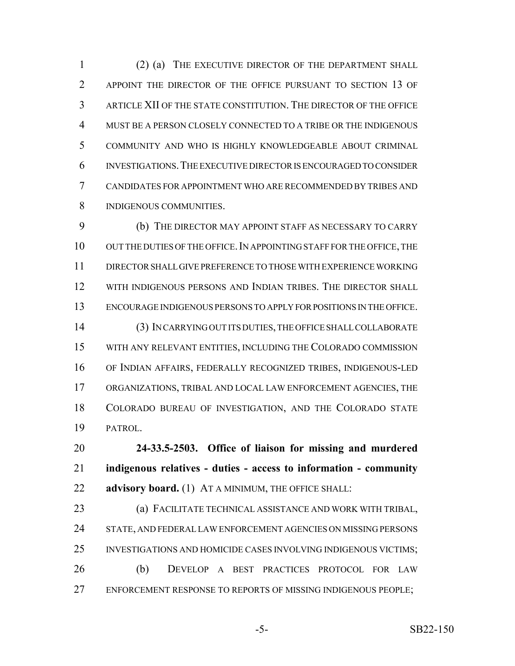(2) (a) THE EXECUTIVE DIRECTOR OF THE DEPARTMENT SHALL 2 APPOINT THE DIRECTOR OF THE OFFICE PURSUANT TO SECTION 13 OF ARTICLE XII OF THE STATE CONSTITUTION. THE DIRECTOR OF THE OFFICE MUST BE A PERSON CLOSELY CONNECTED TO A TRIBE OR THE INDIGENOUS COMMUNITY AND WHO IS HIGHLY KNOWLEDGEABLE ABOUT CRIMINAL INVESTIGATIONS.THE EXECUTIVE DIRECTOR IS ENCOURAGED TO CONSIDER CANDIDATES FOR APPOINTMENT WHO ARE RECOMMENDED BY TRIBES AND INDIGENOUS COMMUNITIES.

 (b) THE DIRECTOR MAY APPOINT STAFF AS NECESSARY TO CARRY 10 OUT THE DUTIES OF THE OFFICE. IN APPOINTING STAFF FOR THE OFFICE, THE DIRECTOR SHALL GIVE PREFERENCE TO THOSE WITH EXPERIENCE WORKING WITH INDIGENOUS PERSONS AND INDIAN TRIBES. THE DIRECTOR SHALL ENCOURAGE INDIGENOUS PERSONS TO APPLY FOR POSITIONS IN THE OFFICE. (3) IN CARRYING OUT ITS DUTIES, THE OFFICE SHALL COLLABORATE WITH ANY RELEVANT ENTITIES, INCLUDING THE COLORADO COMMISSION OF INDIAN AFFAIRS, FEDERALLY RECOGNIZED TRIBES, INDIGENOUS-LED ORGANIZATIONS, TRIBAL AND LOCAL LAW ENFORCEMENT AGENCIES, THE COLORADO BUREAU OF INVESTIGATION, AND THE COLORADO STATE PATROL.

 **24-33.5-2503. Office of liaison for missing and murdered indigenous relatives - duties - access to information - community advisory board.** (1) AT A MINIMUM, THE OFFICE SHALL:

 (a) FACILITATE TECHNICAL ASSISTANCE AND WORK WITH TRIBAL, STATE, AND FEDERAL LAW ENFORCEMENT AGENCIES ON MISSING PERSONS INVESTIGATIONS AND HOMICIDE CASES INVOLVING INDIGENOUS VICTIMS; (b) DEVELOP A BEST PRACTICES PROTOCOL FOR LAW 27 ENFORCEMENT RESPONSE TO REPORTS OF MISSING INDIGENOUS PEOPLE;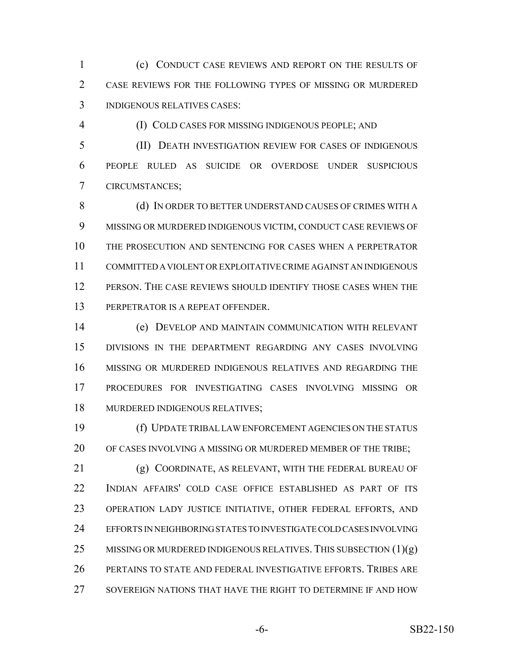(c) CONDUCT CASE REVIEWS AND REPORT ON THE RESULTS OF CASE REVIEWS FOR THE FOLLOWING TYPES OF MISSING OR MURDERED INDIGENOUS RELATIVES CASES:

(I) COLD CASES FOR MISSING INDIGENOUS PEOPLE; AND

 (II) DEATH INVESTIGATION REVIEW FOR CASES OF INDIGENOUS PEOPLE RULED AS SUICIDE OR OVERDOSE UNDER SUSPICIOUS CIRCUMSTANCES;

 (d) IN ORDER TO BETTER UNDERSTAND CAUSES OF CRIMES WITH A MISSING OR MURDERED INDIGENOUS VICTIM, CONDUCT CASE REVIEWS OF THE PROSECUTION AND SENTENCING FOR CASES WHEN A PERPETRATOR COMMITTED A VIOLENT OR EXPLOITATIVE CRIME AGAINST AN INDIGENOUS PERSON. THE CASE REVIEWS SHOULD IDENTIFY THOSE CASES WHEN THE PERPETRATOR IS A REPEAT OFFENDER.

 (e) DEVELOP AND MAINTAIN COMMUNICATION WITH RELEVANT DIVISIONS IN THE DEPARTMENT REGARDING ANY CASES INVOLVING MISSING OR MURDERED INDIGENOUS RELATIVES AND REGARDING THE PROCEDURES FOR INVESTIGATING CASES INVOLVING MISSING OR MURDERED INDIGENOUS RELATIVES;

 (f) UPDATE TRIBAL LAW ENFORCEMENT AGENCIES ON THE STATUS OF CASES INVOLVING A MISSING OR MURDERED MEMBER OF THE TRIBE;

 (g) COORDINATE, AS RELEVANT, WITH THE FEDERAL BUREAU OF INDIAN AFFAIRS' COLD CASE OFFICE ESTABLISHED AS PART OF ITS OPERATION LADY JUSTICE INITIATIVE, OTHER FEDERAL EFFORTS, AND EFFORTS IN NEIGHBORING STATES TO INVESTIGATE COLD CASES INVOLVING 25 MISSING OR MURDERED INDIGENOUS RELATIVES. THIS SUBSECTION  $(1)(g)$  PERTAINS TO STATE AND FEDERAL INVESTIGATIVE EFFORTS. TRIBES ARE 27 SOVEREIGN NATIONS THAT HAVE THE RIGHT TO DETERMINE IF AND HOW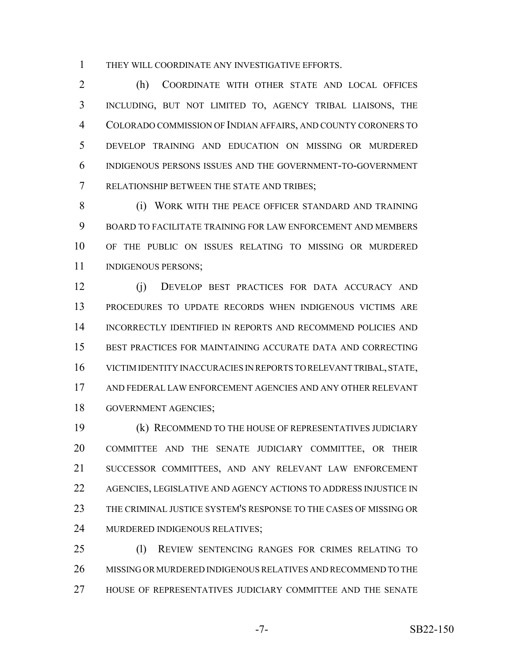THEY WILL COORDINATE ANY INVESTIGATIVE EFFORTS.

 (h) COORDINATE WITH OTHER STATE AND LOCAL OFFICES INCLUDING, BUT NOT LIMITED TO, AGENCY TRIBAL LIAISONS, THE COLORADO COMMISSION OF INDIAN AFFAIRS, AND COUNTY CORONERS TO DEVELOP TRAINING AND EDUCATION ON MISSING OR MURDERED INDIGENOUS PERSONS ISSUES AND THE GOVERNMENT-TO-GOVERNMENT RELATIONSHIP BETWEEN THE STATE AND TRIBES;

8 (i) WORK WITH THE PEACE OFFICER STANDARD AND TRAINING BOARD TO FACILITATE TRAINING FOR LAW ENFORCEMENT AND MEMBERS OF THE PUBLIC ON ISSUES RELATING TO MISSING OR MURDERED 11 INDIGENOUS PERSONS;

 (j) DEVELOP BEST PRACTICES FOR DATA ACCURACY AND PROCEDURES TO UPDATE RECORDS WHEN INDIGENOUS VICTIMS ARE INCORRECTLY IDENTIFIED IN REPORTS AND RECOMMEND POLICIES AND BEST PRACTICES FOR MAINTAINING ACCURATE DATA AND CORRECTING VICTIM IDENTITY INACCURACIES IN REPORTS TO RELEVANT TRIBAL, STATE, AND FEDERAL LAW ENFORCEMENT AGENCIES AND ANY OTHER RELEVANT GOVERNMENT AGENCIES;

 (k) RECOMMEND TO THE HOUSE OF REPRESENTATIVES JUDICIARY COMMITTEE AND THE SENATE JUDICIARY COMMITTEE, OR THEIR SUCCESSOR COMMITTEES, AND ANY RELEVANT LAW ENFORCEMENT AGENCIES, LEGISLATIVE AND AGENCY ACTIONS TO ADDRESS INJUSTICE IN THE CRIMINAL JUSTICE SYSTEM'S RESPONSE TO THE CASES OF MISSING OR MURDERED INDIGENOUS RELATIVES;

 (l) REVIEW SENTENCING RANGES FOR CRIMES RELATING TO MISSING OR MURDERED INDIGENOUS RELATIVES AND RECOMMEND TO THE HOUSE OF REPRESENTATIVES JUDICIARY COMMITTEE AND THE SENATE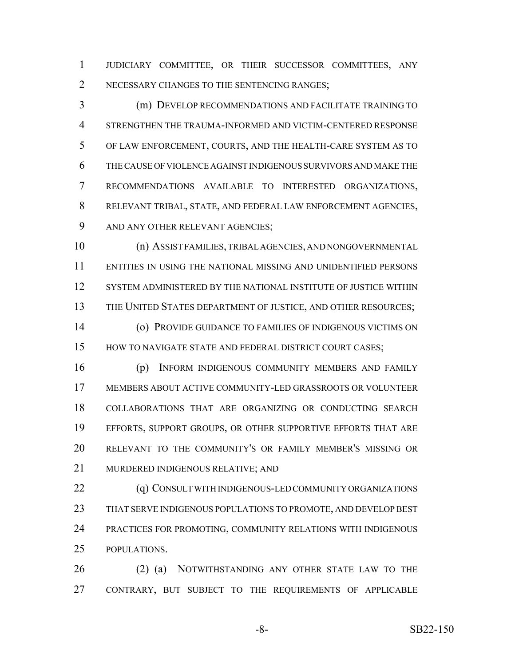JUDICIARY COMMITTEE, OR THEIR SUCCESSOR COMMITTEES, ANY 2 NECESSARY CHANGES TO THE SENTENCING RANGES;

 (m) DEVELOP RECOMMENDATIONS AND FACILITATE TRAINING TO STRENGTHEN THE TRAUMA-INFORMED AND VICTIM-CENTERED RESPONSE OF LAW ENFORCEMENT, COURTS, AND THE HEALTH-CARE SYSTEM AS TO THE CAUSE OF VIOLENCE AGAINST INDIGENOUS SURVIVORS AND MAKE THE RECOMMENDATIONS AVAILABLE TO INTERESTED ORGANIZATIONS, RELEVANT TRIBAL, STATE, AND FEDERAL LAW ENFORCEMENT AGENCIES, 9 AND ANY OTHER RELEVANT AGENCIES;

 (n) ASSIST FAMILIES, TRIBAL AGENCIES, AND NONGOVERNMENTAL ENTITIES IN USING THE NATIONAL MISSING AND UNIDENTIFIED PERSONS SYSTEM ADMINISTERED BY THE NATIONAL INSTITUTE OF JUSTICE WITHIN 13 THE UNITED STATES DEPARTMENT OF JUSTICE, AND OTHER RESOURCES;

 (o) PROVIDE GUIDANCE TO FAMILIES OF INDIGENOUS VICTIMS ON 15 HOW TO NAVIGATE STATE AND FEDERAL DISTRICT COURT CASES;

 (p) INFORM INDIGENOUS COMMUNITY MEMBERS AND FAMILY MEMBERS ABOUT ACTIVE COMMUNITY-LED GRASSROOTS OR VOLUNTEER COLLABORATIONS THAT ARE ORGANIZING OR CONDUCTING SEARCH EFFORTS, SUPPORT GROUPS, OR OTHER SUPPORTIVE EFFORTS THAT ARE RELEVANT TO THE COMMUNITY'S OR FAMILY MEMBER'S MISSING OR MURDERED INDIGENOUS RELATIVE; AND

**(q) CONSULT WITH INDIGENOUS-LED COMMUNITY ORGANIZATIONS**  THAT SERVE INDIGENOUS POPULATIONS TO PROMOTE, AND DEVELOP BEST PRACTICES FOR PROMOTING, COMMUNITY RELATIONS WITH INDIGENOUS POPULATIONS.

26 (2) (a) NOTWITHSTANDING ANY OTHER STATE LAW TO THE CONTRARY, BUT SUBJECT TO THE REQUIREMENTS OF APPLICABLE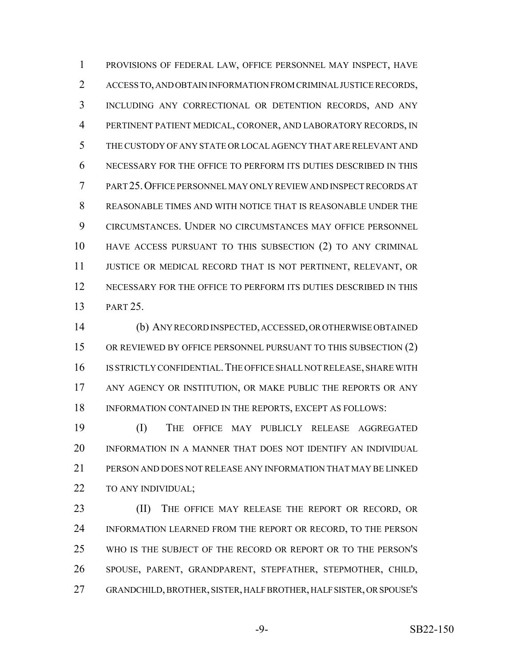PROVISIONS OF FEDERAL LAW, OFFICE PERSONNEL MAY INSPECT, HAVE ACCESS TO, AND OBTAIN INFORMATION FROM CRIMINAL JUSTICE RECORDS, INCLUDING ANY CORRECTIONAL OR DETENTION RECORDS, AND ANY PERTINENT PATIENT MEDICAL, CORONER, AND LABORATORY RECORDS, IN THE CUSTODY OF ANY STATE OR LOCAL AGENCY THAT ARE RELEVANT AND NECESSARY FOR THE OFFICE TO PERFORM ITS DUTIES DESCRIBED IN THIS PART 25.OFFICE PERSONNEL MAY ONLY REVIEW AND INSPECT RECORDS AT REASONABLE TIMES AND WITH NOTICE THAT IS REASONABLE UNDER THE CIRCUMSTANCES. UNDER NO CIRCUMSTANCES MAY OFFICE PERSONNEL HAVE ACCESS PURSUANT TO THIS SUBSECTION (2) TO ANY CRIMINAL JUSTICE OR MEDICAL RECORD THAT IS NOT PERTINENT, RELEVANT, OR NECESSARY FOR THE OFFICE TO PERFORM ITS DUTIES DESCRIBED IN THIS PART 25.

 (b) ANY RECORD INSPECTED, ACCESSED, OR OTHERWISE OBTAINED 15 OR REVIEWED BY OFFICE PERSONNEL PURSUANT TO THIS SUBSECTION (2) IS STRICTLY CONFIDENTIAL.THE OFFICE SHALL NOT RELEASE, SHARE WITH 17 ANY AGENCY OR INSTITUTION, OR MAKE PUBLIC THE REPORTS OR ANY 18 INFORMATION CONTAINED IN THE REPORTS, EXCEPT AS FOLLOWS:

 (I) THE OFFICE MAY PUBLICLY RELEASE AGGREGATED INFORMATION IN A MANNER THAT DOES NOT IDENTIFY AN INDIVIDUAL PERSON AND DOES NOT RELEASE ANY INFORMATION THAT MAY BE LINKED TO ANY INDIVIDUAL;

23 (II) THE OFFICE MAY RELEASE THE REPORT OR RECORD, OR 24 INFORMATION LEARNED FROM THE REPORT OR RECORD, TO THE PERSON WHO IS THE SUBJECT OF THE RECORD OR REPORT OR TO THE PERSON'S SPOUSE, PARENT, GRANDPARENT, STEPFATHER, STEPMOTHER, CHILD, GRANDCHILD, BROTHER, SISTER, HALF BROTHER, HALF SISTER, OR SPOUSE'S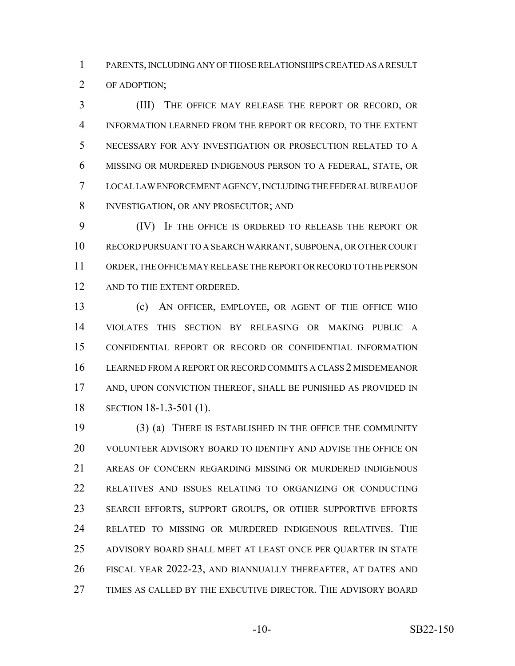PARENTS, INCLUDING ANY OF THOSE RELATIONSHIPS CREATED AS A RESULT OF ADOPTION;

 (III) THE OFFICE MAY RELEASE THE REPORT OR RECORD, OR INFORMATION LEARNED FROM THE REPORT OR RECORD, TO THE EXTENT NECESSARY FOR ANY INVESTIGATION OR PROSECUTION RELATED TO A MISSING OR MURDERED INDIGENOUS PERSON TO A FEDERAL, STATE, OR LOCAL LAW ENFORCEMENT AGENCY, INCLUDING THE FEDERAL BUREAU OF 8 INVESTIGATION, OR ANY PROSECUTOR; AND

 (IV) IF THE OFFICE IS ORDERED TO RELEASE THE REPORT OR RECORD PURSUANT TO A SEARCH WARRANT, SUBPOENA, OR OTHER COURT ORDER, THE OFFICE MAY RELEASE THE REPORT OR RECORD TO THE PERSON 12 AND TO THE EXTENT ORDERED.

 (c) AN OFFICER, EMPLOYEE, OR AGENT OF THE OFFICE WHO VIOLATES THIS SECTION BY RELEASING OR MAKING PUBLIC A CONFIDENTIAL REPORT OR RECORD OR CONFIDENTIAL INFORMATION LEARNED FROM A REPORT OR RECORD COMMITS A CLASS 2 MISDEMEANOR AND, UPON CONVICTION THEREOF, SHALL BE PUNISHED AS PROVIDED IN SECTION 18-1.3-501 (1).

 (3) (a) THERE IS ESTABLISHED IN THE OFFICE THE COMMUNITY VOLUNTEER ADVISORY BOARD TO IDENTIFY AND ADVISE THE OFFICE ON AREAS OF CONCERN REGARDING MISSING OR MURDERED INDIGENOUS RELATIVES AND ISSUES RELATING TO ORGANIZING OR CONDUCTING SEARCH EFFORTS, SUPPORT GROUPS, OR OTHER SUPPORTIVE EFFORTS RELATED TO MISSING OR MURDERED INDIGENOUS RELATIVES. THE ADVISORY BOARD SHALL MEET AT LEAST ONCE PER QUARTER IN STATE FISCAL YEAR 2022-23, AND BIANNUALLY THEREAFTER, AT DATES AND TIMES AS CALLED BY THE EXECUTIVE DIRECTOR. THE ADVISORY BOARD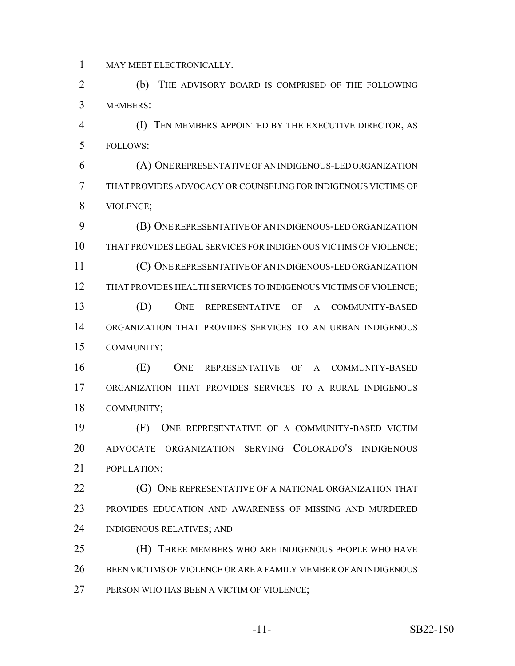MAY MEET ELECTRONICALLY.

 (b) THE ADVISORY BOARD IS COMPRISED OF THE FOLLOWING MEMBERS:

 (I) TEN MEMBERS APPOINTED BY THE EXECUTIVE DIRECTOR, AS FOLLOWS:

 (A) ONE REPRESENTATIVE OF AN INDIGENOUS-LED ORGANIZATION THAT PROVIDES ADVOCACY OR COUNSELING FOR INDIGENOUS VICTIMS OF VIOLENCE;

 (B) ONE REPRESENTATIVE OF AN INDIGENOUS-LED ORGANIZATION THAT PROVIDES LEGAL SERVICES FOR INDIGENOUS VICTIMS OF VIOLENCE; (C) ONE REPRESENTATIVE OF AN INDIGENOUS-LED ORGANIZATION THAT PROVIDES HEALTH SERVICES TO INDIGENOUS VICTIMS OF VIOLENCE; (D) ONE REPRESENTATIVE OF A COMMUNITY-BASED ORGANIZATION THAT PROVIDES SERVICES TO AN URBAN INDIGENOUS COMMUNITY;

 (E) ONE REPRESENTATIVE OF A COMMUNITY-BASED ORGANIZATION THAT PROVIDES SERVICES TO A RURAL INDIGENOUS COMMUNITY;

 (F) ONE REPRESENTATIVE OF A COMMUNITY-BASED VICTIM ADVOCATE ORGANIZATION SERVING COLORADO'S INDIGENOUS POPULATION;

**(G) ONE REPRESENTATIVE OF A NATIONAL ORGANIZATION THAT**  PROVIDES EDUCATION AND AWARENESS OF MISSING AND MURDERED INDIGENOUS RELATIVES; AND

 (H) THREE MEMBERS WHO ARE INDIGENOUS PEOPLE WHO HAVE BEEN VICTIMS OF VIOLENCE OR ARE A FAMILY MEMBER OF AN INDIGENOUS PERSON WHO HAS BEEN A VICTIM OF VIOLENCE;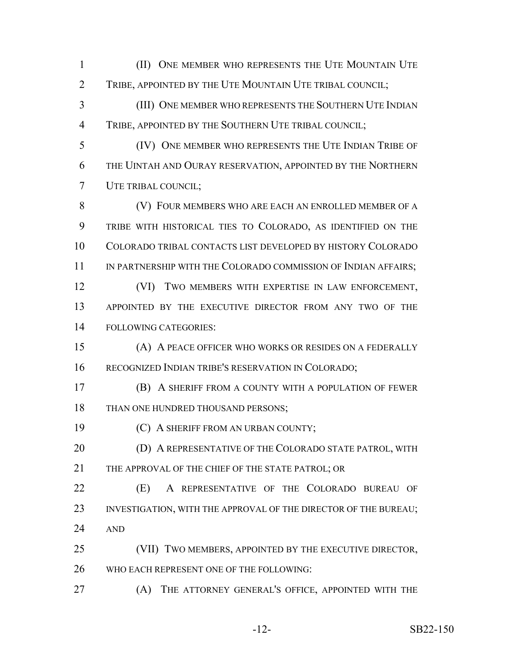(II) ONE MEMBER WHO REPRESENTS THE UTE MOUNTAIN UTE TRIBE, APPOINTED BY THE UTE MOUNTAIN UTE TRIBAL COUNCIL;

 (III) ONE MEMBER WHO REPRESENTS THE SOUTHERN UTE INDIAN TRIBE, APPOINTED BY THE SOUTHERN UTE TRIBAL COUNCIL;

 (IV) ONE MEMBER WHO REPRESENTS THE UTE INDIAN TRIBE OF THE UINTAH AND OURAY RESERVATION, APPOINTED BY THE NORTHERN UTE TRIBAL COUNCIL;

 (V) FOUR MEMBERS WHO ARE EACH AN ENROLLED MEMBER OF A TRIBE WITH HISTORICAL TIES TO COLORADO, AS IDENTIFIED ON THE COLORADO TRIBAL CONTACTS LIST DEVELOPED BY HISTORY COLORADO 11 IN PARTNERSHIP WITH THE COLORADO COMMISSION OF INDIAN AFFAIRS; (VI) TWO MEMBERS WITH EXPERTISE IN LAW ENFORCEMENT,

 APPOINTED BY THE EXECUTIVE DIRECTOR FROM ANY TWO OF THE FOLLOWING CATEGORIES:

 (A) A PEACE OFFICER WHO WORKS OR RESIDES ON A FEDERALLY RECOGNIZED INDIAN TRIBE'S RESERVATION IN COLORADO;

- (B) A SHERIFF FROM A COUNTY WITH A POPULATION OF FEWER 18 THAN ONE HUNDRED THOUSAND PERSONS;
- **(C) A SHERIFF FROM AN URBAN COUNTY;**

**(D) A REPRESENTATIVE OF THE COLORADO STATE PATROL, WITH** 21 THE APPROVAL OF THE CHIEF OF THE STATE PATROL: OR

 (E) A REPRESENTATIVE OF THE COLORADO BUREAU OF 23 INVESTIGATION, WITH THE APPROVAL OF THE DIRECTOR OF THE BUREAU; AND

 (VII) TWO MEMBERS, APPOINTED BY THE EXECUTIVE DIRECTOR, 26 WHO EACH REPRESENT ONE OF THE FOLLOWING:

(A) THE ATTORNEY GENERAL'S OFFICE, APPOINTED WITH THE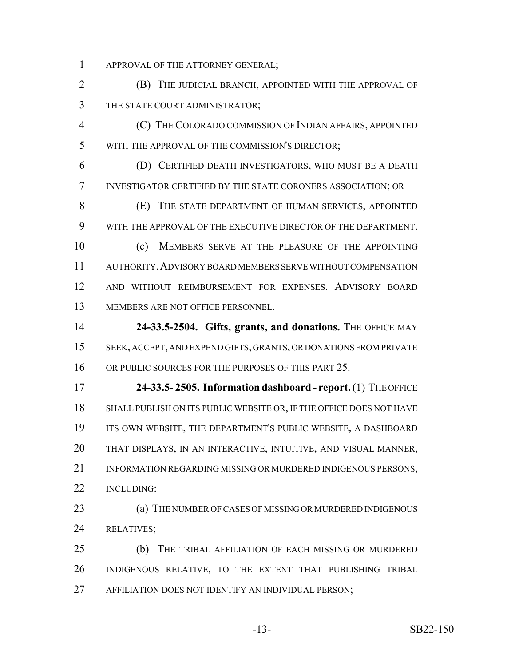APPROVAL OF THE ATTORNEY GENERAL;

 (B) THE JUDICIAL BRANCH, APPOINTED WITH THE APPROVAL OF THE STATE COURT ADMINISTRATOR;

 (C) THE COLORADO COMMISSION OF INDIAN AFFAIRS, APPOINTED WITH THE APPROVAL OF THE COMMISSION'S DIRECTOR;

 (D) CERTIFIED DEATH INVESTIGATORS, WHO MUST BE A DEATH INVESTIGATOR CERTIFIED BY THE STATE CORONERS ASSOCIATION; OR

 (E) THE STATE DEPARTMENT OF HUMAN SERVICES, APPOINTED WITH THE APPROVAL OF THE EXECUTIVE DIRECTOR OF THE DEPARTMENT.

 (c) MEMBERS SERVE AT THE PLEASURE OF THE APPOINTING AUTHORITY.ADVISORY BOARD MEMBERS SERVE WITHOUT COMPENSATION AND WITHOUT REIMBURSEMENT FOR EXPENSES. ADVISORY BOARD MEMBERS ARE NOT OFFICE PERSONNEL.

**24-33.5-2504. Gifts, grants, and donations.** THE OFFICE MAY SEEK, ACCEPT, AND EXPEND GIFTS, GRANTS, OR DONATIONS FROM PRIVATE 16 OR PUBLIC SOURCES FOR THE PURPOSES OF THIS PART 25.

 **24-33.5- 2505. Information dashboard - report.** (1) THE OFFICE SHALL PUBLISH ON ITS PUBLIC WEBSITE OR, IF THE OFFICE DOES NOT HAVE ITS OWN WEBSITE, THE DEPARTMENT'S PUBLIC WEBSITE, A DASHBOARD THAT DISPLAYS, IN AN INTERACTIVE, INTUITIVE, AND VISUAL MANNER, 21 INFORMATION REGARDING MISSING OR MURDERED INDIGENOUS PERSONS, INCLUDING:

23 (a) THE NUMBER OF CASES OF MISSING OR MURDERED INDIGENOUS RELATIVES;

 (b) THE TRIBAL AFFILIATION OF EACH MISSING OR MURDERED INDIGENOUS RELATIVE, TO THE EXTENT THAT PUBLISHING TRIBAL AFFILIATION DOES NOT IDENTIFY AN INDIVIDUAL PERSON;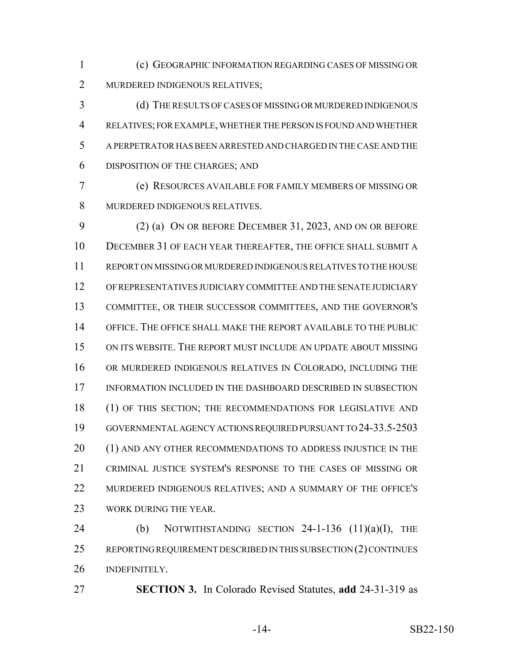(c) GEOGRAPHIC INFORMATION REGARDING CASES OF MISSING OR MURDERED INDIGENOUS RELATIVES;

 (d) THE RESULTS OF CASES OF MISSING OR MURDERED INDIGENOUS RELATIVES; FOR EXAMPLE, WHETHER THE PERSON IS FOUND AND WHETHER A PERPETRATOR HAS BEEN ARRESTED AND CHARGED IN THE CASE AND THE DISPOSITION OF THE CHARGES; AND

 (e) RESOURCES AVAILABLE FOR FAMILY MEMBERS OF MISSING OR MURDERED INDIGENOUS RELATIVES.

 (2) (a) ON OR BEFORE DECEMBER 31, 2023, AND ON OR BEFORE DECEMBER 31 OF EACH YEAR THEREAFTER, THE OFFICE SHALL SUBMIT A REPORT ON MISSING OR MURDERED INDIGENOUS RELATIVES TO THE HOUSE OF REPRESENTATIVES JUDICIARY COMMITTEE AND THE SENATE JUDICIARY COMMITTEE, OR THEIR SUCCESSOR COMMITTEES, AND THE GOVERNOR'S OFFICE. THE OFFICE SHALL MAKE THE REPORT AVAILABLE TO THE PUBLIC ON ITS WEBSITE. THE REPORT MUST INCLUDE AN UPDATE ABOUT MISSING OR MURDERED INDIGENOUS RELATIVES IN COLORADO, INCLUDING THE INFORMATION INCLUDED IN THE DASHBOARD DESCRIBED IN SUBSECTION 18 (1) OF THIS SECTION; THE RECOMMENDATIONS FOR LEGISLATIVE AND GOVERNMENTAL AGENCY ACTIONS REQUIRED PURSUANT TO 24-33.5-2503 20 (1) AND ANY OTHER RECOMMENDATIONS TO ADDRESS INJUSTICE IN THE CRIMINAL JUSTICE SYSTEM'S RESPONSE TO THE CASES OF MISSING OR MURDERED INDIGENOUS RELATIVES; AND A SUMMARY OF THE OFFICE'S 23 WORK DURING THE YEAR.

24 (b) NOTWITHSTANDING SECTION -1-136  $(11)(a)(I)$ , THE REPORTING REQUIREMENT DESCRIBED IN THIS SUBSECTION (2) CONTINUES INDEFINITELY.

**SECTION 3.** In Colorado Revised Statutes, **add** 24-31-319 as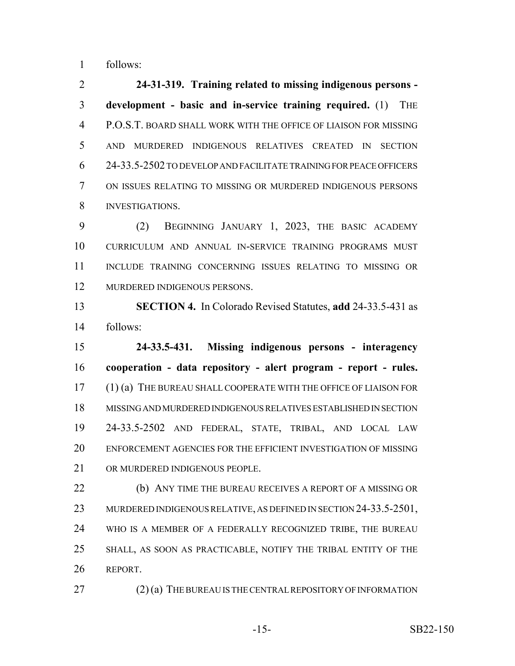follows:

 **24-31-319. Training related to missing indigenous persons - development - basic and in-service training required.** (1) THE P.O.S.T. BOARD SHALL WORK WITH THE OFFICE OF LIAISON FOR MISSING AND MURDERED INDIGENOUS RELATIVES CREATED IN SECTION 24-33.5-2502 TO DEVELOP AND FACILITATE TRAINING FOR PEACE OFFICERS ON ISSUES RELATING TO MISSING OR MURDERED INDIGENOUS PERSONS INVESTIGATIONS.

 (2) BEGINNING JANUARY 1, 2023, THE BASIC ACADEMY CURRICULUM AND ANNUAL IN-SERVICE TRAINING PROGRAMS MUST INCLUDE TRAINING CONCERNING ISSUES RELATING TO MISSING OR MURDERED INDIGENOUS PERSONS.

 **SECTION 4.** In Colorado Revised Statutes, **add** 24-33.5-431 as follows:

 **24-33.5-431. Missing indigenous persons - interagency cooperation - data repository - alert program - report - rules.** (1) (a) THE BUREAU SHALL COOPERATE WITH THE OFFICE OF LIAISON FOR MISSING AND MURDERED INDIGENOUS RELATIVES ESTABLISHED IN SECTION 24-33.5-2502 AND FEDERAL, STATE, TRIBAL, AND LOCAL LAW ENFORCEMENT AGENCIES FOR THE EFFICIENT INVESTIGATION OF MISSING OR MURDERED INDIGENOUS PEOPLE.

 (b) ANY TIME THE BUREAU RECEIVES A REPORT OF A MISSING OR 23 MURDERED INDIGENOUS RELATIVE, AS DEFINED IN SECTION 24-33.5-2501, WHO IS A MEMBER OF A FEDERALLY RECOGNIZED TRIBE, THE BUREAU SHALL, AS SOON AS PRACTICABLE, NOTIFY THE TRIBAL ENTITY OF THE REPORT.

27 (2) (a) THE BUREAU IS THE CENTRAL REPOSITORY OF INFORMATION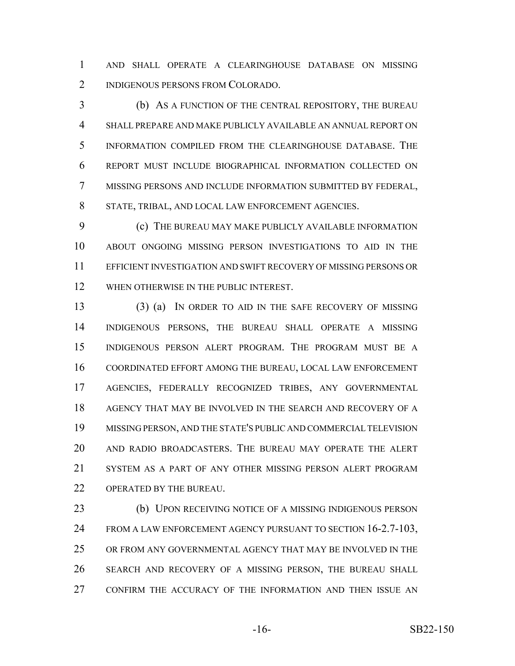AND SHALL OPERATE A CLEARINGHOUSE DATABASE ON MISSING INDIGENOUS PERSONS FROM COLORADO.

 (b) AS A FUNCTION OF THE CENTRAL REPOSITORY, THE BUREAU SHALL PREPARE AND MAKE PUBLICLY AVAILABLE AN ANNUAL REPORT ON INFORMATION COMPILED FROM THE CLEARINGHOUSE DATABASE. THE REPORT MUST INCLUDE BIOGRAPHICAL INFORMATION COLLECTED ON MISSING PERSONS AND INCLUDE INFORMATION SUBMITTED BY FEDERAL, STATE, TRIBAL, AND LOCAL LAW ENFORCEMENT AGENCIES.

 (c) THE BUREAU MAY MAKE PUBLICLY AVAILABLE INFORMATION ABOUT ONGOING MISSING PERSON INVESTIGATIONS TO AID IN THE EFFICIENT INVESTIGATION AND SWIFT RECOVERY OF MISSING PERSONS OR 12 WHEN OTHERWISE IN THE PUBLIC INTEREST.

 (3) (a) IN ORDER TO AID IN THE SAFE RECOVERY OF MISSING INDIGENOUS PERSONS, THE BUREAU SHALL OPERATE A MISSING INDIGENOUS PERSON ALERT PROGRAM. THE PROGRAM MUST BE A COORDINATED EFFORT AMONG THE BUREAU, LOCAL LAW ENFORCEMENT AGENCIES, FEDERALLY RECOGNIZED TRIBES, ANY GOVERNMENTAL AGENCY THAT MAY BE INVOLVED IN THE SEARCH AND RECOVERY OF A MISSING PERSON, AND THE STATE'S PUBLIC AND COMMERCIAL TELEVISION AND RADIO BROADCASTERS. THE BUREAU MAY OPERATE THE ALERT SYSTEM AS A PART OF ANY OTHER MISSING PERSON ALERT PROGRAM 22 OPERATED BY THE BUREAU.

 (b) UPON RECEIVING NOTICE OF A MISSING INDIGENOUS PERSON 24 FROM A LAW ENFORCEMENT AGENCY PURSUANT TO SECTION 16-2.7-103, OR FROM ANY GOVERNMENTAL AGENCY THAT MAY BE INVOLVED IN THE SEARCH AND RECOVERY OF A MISSING PERSON, THE BUREAU SHALL CONFIRM THE ACCURACY OF THE INFORMATION AND THEN ISSUE AN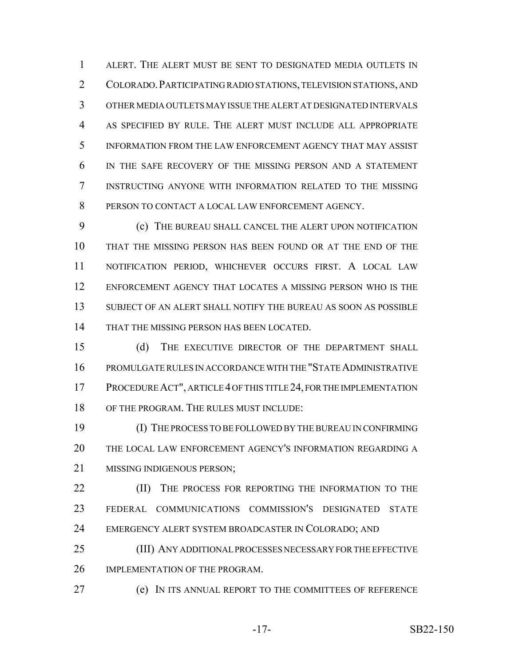ALERT. THE ALERT MUST BE SENT TO DESIGNATED MEDIA OUTLETS IN COLORADO.PARTICIPATING RADIO STATIONS, TELEVISION STATIONS, AND OTHER MEDIA OUTLETS MAY ISSUE THE ALERT AT DESIGNATED INTERVALS AS SPECIFIED BY RULE. THE ALERT MUST INCLUDE ALL APPROPRIATE INFORMATION FROM THE LAW ENFORCEMENT AGENCY THAT MAY ASSIST IN THE SAFE RECOVERY OF THE MISSING PERSON AND A STATEMENT INSTRUCTING ANYONE WITH INFORMATION RELATED TO THE MISSING PERSON TO CONTACT A LOCAL LAW ENFORCEMENT AGENCY.

 (c) THE BUREAU SHALL CANCEL THE ALERT UPON NOTIFICATION THAT THE MISSING PERSON HAS BEEN FOUND OR AT THE END OF THE NOTIFICATION PERIOD, WHICHEVER OCCURS FIRST. A LOCAL LAW ENFORCEMENT AGENCY THAT LOCATES A MISSING PERSON WHO IS THE SUBJECT OF AN ALERT SHALL NOTIFY THE BUREAU AS SOON AS POSSIBLE THAT THE MISSING PERSON HAS BEEN LOCATED.

 (d) THE EXECUTIVE DIRECTOR OF THE DEPARTMENT SHALL PROMULGATE RULES IN ACCORDANCE WITH THE "STATE ADMINISTRATIVE PROCEDURE ACT", ARTICLE 4 OF THIS TITLE 24, FOR THE IMPLEMENTATION OF THE PROGRAM. THE RULES MUST INCLUDE:

 (I) THE PROCESS TO BE FOLLOWED BY THE BUREAU IN CONFIRMING THE LOCAL LAW ENFORCEMENT AGENCY'S INFORMATION REGARDING A 21 MISSING INDIGENOUS PERSON:

**(II)** THE PROCESS FOR REPORTING THE INFORMATION TO THE FEDERAL COMMUNICATIONS COMMISSION'S DESIGNATED STATE EMERGENCY ALERT SYSTEM BROADCASTER IN COLORADO; AND

 (III) ANY ADDITIONAL PROCESSES NECESSARY FOR THE EFFECTIVE IMPLEMENTATION OF THE PROGRAM.

(e) IN ITS ANNUAL REPORT TO THE COMMITTEES OF REFERENCE